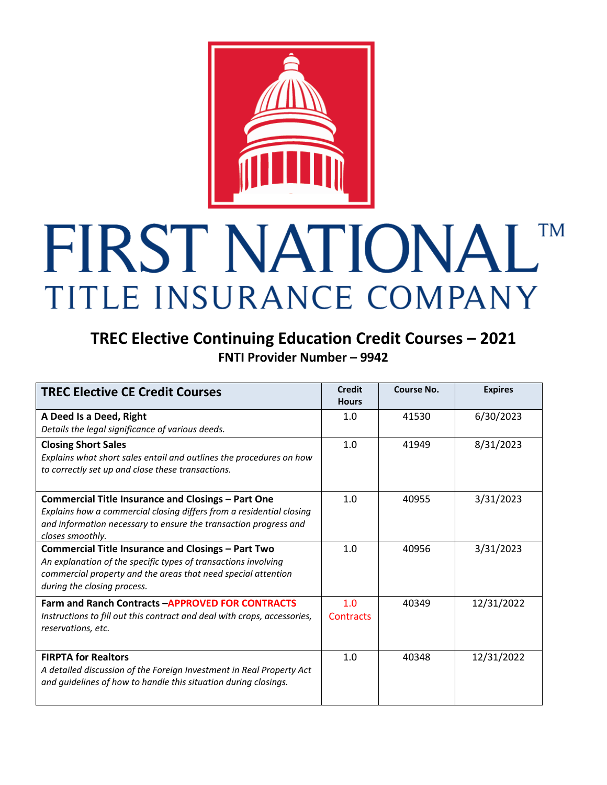

## FIRST NATIONALTM TITLE INSURANCE COMPANY

## **TREC Elective Continuing Education Credit Courses – 2021 FNTI Provider Number – 9942**

| <b>TREC Elective CE Credit Courses</b>                                   | <b>Credit</b><br><b>Hours</b> | Course No. | <b>Expires</b> |
|--------------------------------------------------------------------------|-------------------------------|------------|----------------|
| A Deed Is a Deed, Right                                                  | 1.0                           | 41530      | 6/30/2023      |
| Details the legal significance of various deeds.                         |                               |            |                |
| <b>Closing Short Sales</b>                                               | 1.0                           | 41949      | 8/31/2023      |
| Explains what short sales entail and outlines the procedures on how      |                               |            |                |
| to correctly set up and close these transactions.                        |                               |            |                |
|                                                                          |                               |            |                |
| Commercial Title Insurance and Closings - Part One                       | 1.0                           | 40955      | 3/31/2023      |
| Explains how a commercial closing differs from a residential closing     |                               |            |                |
| and information necessary to ensure the transaction progress and         |                               |            |                |
| closes smoothly.                                                         |                               |            |                |
| Commercial Title Insurance and Closings - Part Two                       | 1.0                           | 40956      | 3/31/2023      |
| An explanation of the specific types of transactions involving           |                               |            |                |
| commercial property and the areas that need special attention            |                               |            |                |
| during the closing process.                                              |                               |            |                |
| <b>Farm and Ranch Contracts -APPROVED FOR CONTRACTS</b>                  | 1.0                           | 40349      | 12/31/2022     |
| Instructions to fill out this contract and deal with crops, accessories, | Contracts                     |            |                |
| reservations, etc.                                                       |                               |            |                |
|                                                                          |                               |            |                |
| <b>FIRPTA for Realtors</b>                                               | 1.0                           | 40348      | 12/31/2022     |
| A detailed discussion of the Foreign Investment in Real Property Act     |                               |            |                |
| and guidelines of how to handle this situation during closings.          |                               |            |                |
|                                                                          |                               |            |                |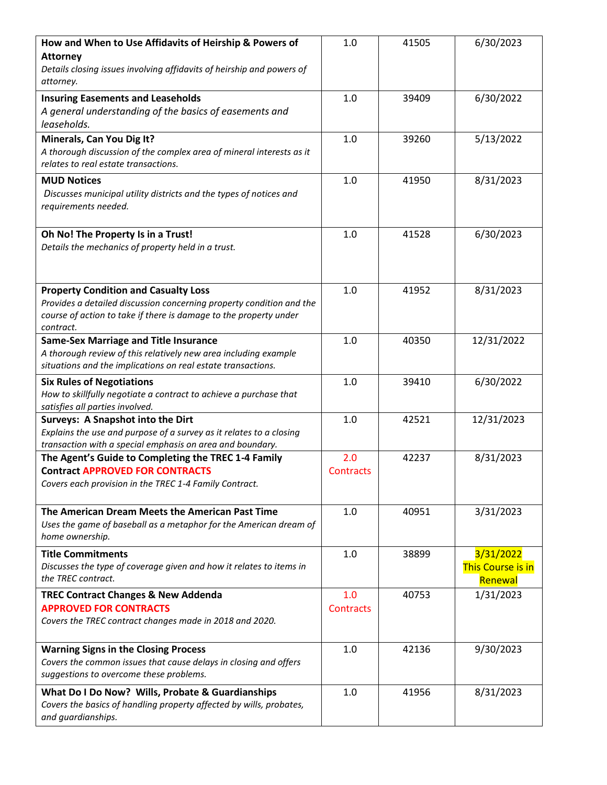| How and When to Use Affidavits of Heirship & Powers of<br><b>Attorney</b><br>Details closing issues involving affidavits of heirship and powers of<br>attorney.                                       | 1.0                     | 41505 | 6/30/2023                                        |
|-------------------------------------------------------------------------------------------------------------------------------------------------------------------------------------------------------|-------------------------|-------|--------------------------------------------------|
| <b>Insuring Easements and Leaseholds</b><br>A general understanding of the basics of easements and<br>leaseholds.                                                                                     | 1.0                     | 39409 | 6/30/2022                                        |
| Minerals, Can You Dig It?<br>A thorough discussion of the complex area of mineral interests as it<br>relates to real estate transactions.                                                             | 1.0                     | 39260 | 5/13/2022                                        |
| <b>MUD Notices</b><br>Discusses municipal utility districts and the types of notices and<br>requirements needed.                                                                                      | 1.0                     | 41950 | 8/31/2023                                        |
| Oh No! The Property Is in a Trust!<br>Details the mechanics of property held in a trust.                                                                                                              | 1.0                     | 41528 | 6/30/2023                                        |
| <b>Property Condition and Casualty Loss</b><br>Provides a detailed discussion concerning property condition and the<br>course of action to take if there is damage to the property under<br>contract. | 1.0                     | 41952 | 8/31/2023                                        |
| <b>Same-Sex Marriage and Title Insurance</b><br>A thorough review of this relatively new area including example<br>situations and the implications on real estate transactions.                       | 1.0                     | 40350 | 12/31/2022                                       |
| <b>Six Rules of Negotiations</b><br>How to skillfully negotiate a contract to achieve a purchase that<br>satisfies all parties involved.                                                              | 1.0                     | 39410 | 6/30/2022                                        |
| <b>Surveys: A Snapshot into the Dirt</b><br>Explains the use and purpose of a survey as it relates to a closing<br>transaction with a special emphasis on area and boundary.                          | 1.0                     | 42521 | 12/31/2023                                       |
| The Agent's Guide to Completing the TREC 1-4 Family<br><b>Contract APPROVED FOR CONTRACTS</b><br>Covers each provision in the TREC 1-4 Family Contract.                                               | 2.0<br><b>Contracts</b> | 42237 | 8/31/2023                                        |
| The American Dream Meets the American Past Time<br>Uses the game of baseball as a metaphor for the American dream of<br>home ownership.                                                               | 1.0                     | 40951 | 3/31/2023                                        |
| <b>Title Commitments</b><br>Discusses the type of coverage given and how it relates to items in<br>the TREC contract.                                                                                 | 1.0                     | 38899 | 3/31/2022<br><b>This Course is in</b><br>Renewal |
| <b>TREC Contract Changes &amp; New Addenda</b><br><b>APPROVED FOR CONTRACTS</b><br>Covers the TREC contract changes made in 2018 and 2020.                                                            | 1.0<br><b>Contracts</b> | 40753 | 1/31/2023                                        |
| <b>Warning Signs in the Closing Process</b><br>Covers the common issues that cause delays in closing and offers<br>suggestions to overcome these problems.                                            | 1.0                     | 42136 | 9/30/2023                                        |
| What Do I Do Now? Wills, Probate & Guardianships<br>Covers the basics of handling property affected by wills, probates,<br>and guardianships.                                                         | 1.0                     | 41956 | 8/31/2023                                        |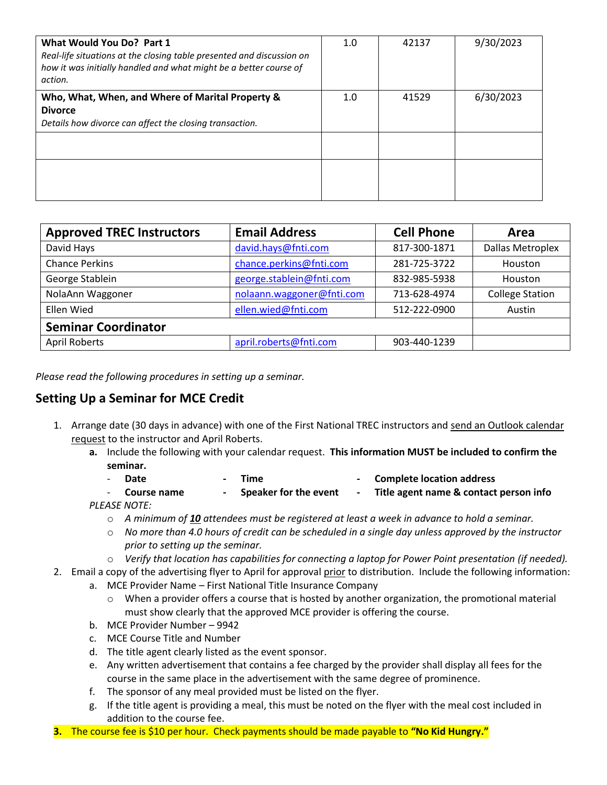| What Would You Do? Part 1<br>Real-life situations at the closing table presented and discussion on<br>how it was initially handled and what might be a better course of<br>action. | 1.0 | 42137 | 9/30/2023 |
|------------------------------------------------------------------------------------------------------------------------------------------------------------------------------------|-----|-------|-----------|
| Who, What, When, and Where of Marital Property &<br><b>Divorce</b><br>Details how divorce can affect the closing transaction.                                                      | 1.0 | 41529 | 6/30/2023 |
|                                                                                                                                                                                    |     |       |           |

| <b>Approved TREC Instructors</b> | <b>Email Address</b>      | <b>Cell Phone</b> | Area                    |
|----------------------------------|---------------------------|-------------------|-------------------------|
| David Hays                       | david.hays@fnti.com       | 817-300-1871      | <b>Dallas Metroplex</b> |
| <b>Chance Perkins</b>            | chance.perkins@fnti.com   | 281-725-3722      | Houston                 |
| George Stablein                  | george.stablein@fnti.com  | 832-985-5938      | Houston                 |
| NolaAnn Waggoner                 | nolaann.waggoner@fnti.com | 713-628-4974      | <b>College Station</b>  |
| <b>Ellen Wied</b>                | ellen.wied@fnti.com       | 512-222-0900      | Austin                  |
| <b>Seminar Coordinator</b>       |                           |                   |                         |
| <b>April Roberts</b>             | april.roberts@fnti.com    | 903-440-1239      |                         |

*Please read the following procedures in setting up a seminar.* 

## **Setting Up a Seminar for MCE Credit**

- 1. Arrange date (30 days in advance) with one of the First National TREC instructors and send an Outlook calendar request to the instructor and April Roberts.
	- **a.** Include the following with your calendar request. **This information MUST be included to confirm the seminar.** 
		- **Date Time - Complete location address** - **Course name - Speaker for the event - Title agent name & contact person info**
	- *PLEASE NOTE:* 
		- o *A minimum of 10 attendees must be registered at least a week in advance to hold a seminar.*
		- o *No more than 4.0 hours of credit can be scheduled in a single day unless approved by the instructor prior to setting up the seminar.*
		- o *Verify that location has capabilities for connecting a laptop for Power Point presentation (if needed).*
- 2. Email a copy of the advertising flyer to April for approval prior to distribution. Include the following information:
	- a. MCE Provider Name First National Title Insurance Company
		- $\circ$  When a provider offers a course that is hosted by another organization, the promotional material must show clearly that the approved MCE provider is offering the course.
	- b. MCE Provider Number 9942
	- c. MCE Course Title and Number
	- d. The title agent clearly listed as the event sponsor.
	- e. Any written advertisement that contains a fee charged by the provider shall display all fees for the course in the same place in the advertisement with the same degree of prominence.
	- f. The sponsor of any meal provided must be listed on the flyer.
	- g. If the title agent is providing a meal, this must be noted on the flyer with the meal cost included in addition to the course fee.
- **3.** The course fee is \$10 per hour. Check payments should be made payable to **"No Kid Hungry."**